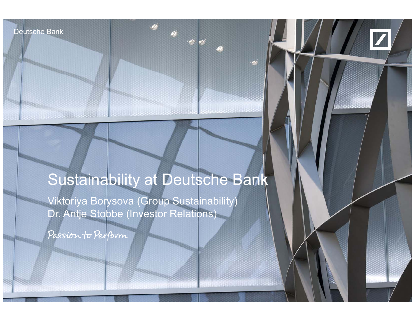Deutsche Bank

**Martin Mars.** And

Deutsche Bank,



# Sustainability at Deutsche Bank

Viktoriya Borysova (Group Sustainability) Dr. Antje Stobbe (Investor Relations)

Investor Relations, Communications, CSR & Public Affairs/Group Sustainability London, 26 June 2014

Passion to Perform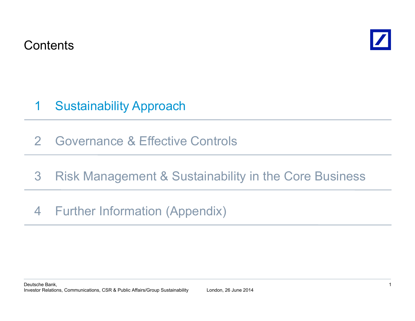**Contents** 



#### Sustainability Approach 1

2Governance & Effective Controls

# 3**Risk Management & Sustainability in the Core Business** <sup>s</sup> <sup>a</sup> age <sup>e</sup> <sup>t</sup> Susta ab ty <sup>t</sup> <sup>e</sup> Co <sup>e</sup> us essFurther Information (Appendix)

# 4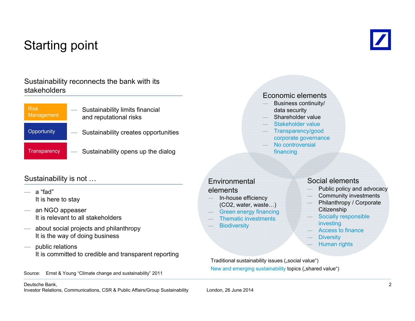# Starting point



### Sustainability reconnects the bank with its stakeholders

| <b>Risk</b><br>Management | Sustainability limits financial<br>and reputational risks |
|---------------------------|-----------------------------------------------------------|
| Opportunity               | Sustainability creates opportunities                      |
| Transparency              | Sustainability opens up the dialog                        |

### Sustainability is not …

- <sup>a</sup>"fad" It is here to stay
- an NGO appeaser It is relevant to all stakeholders
- about social projects and philanthropy It is the way of doing business
- public relations It is committed to credible and transparent reporting

Source: Ernst & Young "Climate change and sustainability" 2011

#### Economic elements

- Business continuity/ data security
- Shareholder value
- Stakeholder value
- Transparency/good corporate governance
- No controversial financing

### Environmentalelements

- In-house efficiency (CO2, water, waste…)
- Green energy financing
- Thematic investments
- **Biodiversity**

#### Social elements

- Public policy and advocacy
- Community investments
- Philanthropy / Corporate **Citizenship**
- Socially responsible investing
- Access to finance
- **Diversity**
- Human rights

Traditional sustainability issues ("social value") New and emerging sustainability topics ("shared value")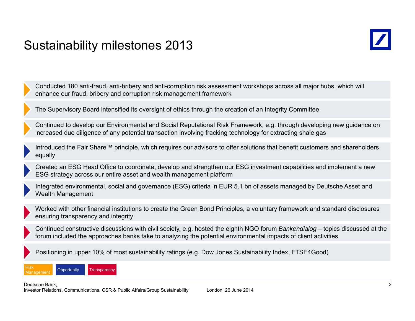### Sustainability milestones 2013

Conducted 180 anti-fraud, anti-bribery and anti-corruption risk assessment workshops across all major hubs, which will enhance our fraud, bribery and corruption risk management framework

The Supervisory Board intensified its oversight of ethics through the creation of an Integrity Committee

Continued to develop our Environmental and Social Reputational Risk Framework, e.g. through developing new guidance on increased due diligence of any potential transaction involving fracking technology for extracting shale gas

Introduced the Fair Share™ principle, which requires our advisors to offer solutions that benefit customers and shareholders equally

Created an ESG Head Office to coordinate, develop and strengthen our ESG investment capabilities and implement a new ESG strategy across our entire asset and wealth management platform

Integrated environmental, social and governance (ESG) criteria in EUR 5.1 bn of assets managed by Deutsche Asset and Wealth Management

Worked with other financial institutions to create the Green Bond Principles, a voluntary framework and standard disclosures ensuring transparency and integrity

Continued constructive discussions with civil society, e.g. hosted the eighth NGO forum *Bankendialog –* topics discussed at the forum included the approaches banks take to analyzing the potential environmental impacts of client activities

Positioning in upper 10% of most sustainability ratings (e.g. Dow Jones Sustainability Index, FTSE4Good)



Deutsche Bank,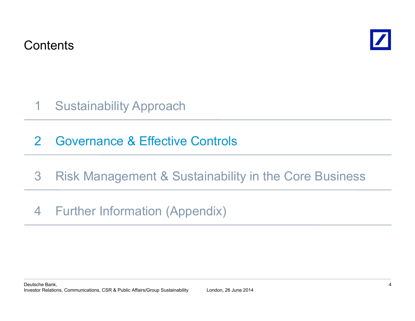**Contents** 



- Sustainability Approach 1
- 2Governance & Effective Controls
- 3**Risk Management & Sustainability in the Core Business** <sup>s</sup> <sup>a</sup> age <sup>e</sup> <sup>t</sup> Susta ab ty <sup>t</sup> <sup>e</sup> Co <sup>e</sup> us essFurther Information (Appendix)
- 4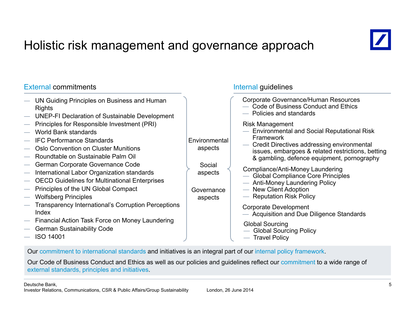# Holistic risk management and governance approach



### External commitments

| Corporate Governance/Human Resources<br>UN Guiding Principles on Business and Human<br>Code of Business Conduct and Ethics<br>Rights<br>- Policies and standards<br><b>UNEP-FI Declaration of Sustainable Development</b><br>Principles for Responsible Investment (PRI)<br><b>Risk Management</b><br><b>Environmental and Social Reputational Risk</b><br>World Bank standards<br><b>Framework</b><br><b>IFC Performance Standards</b><br>Environmental<br>- Credit Directives addressing environmental<br>Oslo Convention on Cluster Munitions<br>aspects<br>issues, embargoes & related restrictions, betting<br>Roundtable on Sustainable Palm Oil<br>& gambling, defence equipment, pornography<br>German Corporate Governance Code<br>Social<br>Compliance/Anti-Money Laundering<br>International Labor Organization standards<br>aspects<br>- Global Compliance Core Principles<br><b>OECD Guidelines for Multinational Enterprises</b><br>- Anti-Money Laundering Policy<br>Principles of the UN Global Compact<br>- New Client Adoption<br>Governance<br>- Reputation Risk Policy<br><b>Wolfsberg Principles</b><br>aspects<br><b>Transparency International's Corruption Perceptions</b><br>Corporate Development<br>Index<br>- Acquisition and Due Diligence Standards<br>Financial Action Task Force on Money Laundering<br><b>Global Sourcing</b><br><b>German Sustainability Code</b><br>- Global Sourcing Policy<br><b>ISO 14001</b><br>- Travel Policy |  |  |
|------------------------------------------------------------------------------------------------------------------------------------------------------------------------------------------------------------------------------------------------------------------------------------------------------------------------------------------------------------------------------------------------------------------------------------------------------------------------------------------------------------------------------------------------------------------------------------------------------------------------------------------------------------------------------------------------------------------------------------------------------------------------------------------------------------------------------------------------------------------------------------------------------------------------------------------------------------------------------------------------------------------------------------------------------------------------------------------------------------------------------------------------------------------------------------------------------------------------------------------------------------------------------------------------------------------------------------------------------------------------------------------------------------------------------------------------------------------------|--|--|
|                                                                                                                                                                                                                                                                                                                                                                                                                                                                                                                                                                                                                                                                                                                                                                                                                                                                                                                                                                                                                                                                                                                                                                                                                                                                                                                                                                                                                                                                        |  |  |
|                                                                                                                                                                                                                                                                                                                                                                                                                                                                                                                                                                                                                                                                                                                                                                                                                                                                                                                                                                                                                                                                                                                                                                                                                                                                                                                                                                                                                                                                        |  |  |
|                                                                                                                                                                                                                                                                                                                                                                                                                                                                                                                                                                                                                                                                                                                                                                                                                                                                                                                                                                                                                                                                                                                                                                                                                                                                                                                                                                                                                                                                        |  |  |

Internal guidelines

Our commitment to international standards and initiatives is an integral part of our internal policy framework.

Our Code of Business Conduct and Ethics as well as our policies and guidelines reflect our commitment to a wide range of external standards, principles and initiatives.

Deutsche Bank,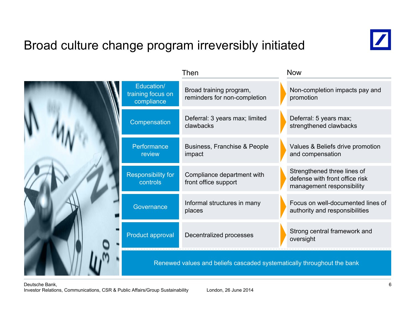# Broad culture change program irreversibly initiated



|                                               | Then                                                                   | <b>Now</b>                                                                                 |
|-----------------------------------------------|------------------------------------------------------------------------|--------------------------------------------------------------------------------------------|
| Education/<br>training focus on<br>compliance | Broad training program,<br>reminders for non-completion                | Non-completion impacts pay and<br>promotion                                                |
| Compensation                                  | Deferral: 3 years max; limited<br>clawbacks                            | Deferral: 5 years max;<br>strengthened clawbacks                                           |
| Performance<br>review                         | Business, Franchise & People<br>impact                                 | Values & Beliefs drive promotion<br>and compensation                                       |
| Responsibility for<br>controls                | Compliance department with<br>front office support                     | Strengthened three lines of<br>defense with front office risk<br>management responsibility |
| Governance                                    | Informal structures in many<br>places                                  | Focus on well-documented lines of<br>authority and responsibilities                        |
| Product approval                              | Decentralized processes                                                | Strong central framework and<br>oversight                                                  |
|                                               | Renewed values and beliefs cascaded systematically throughout the bank |                                                                                            |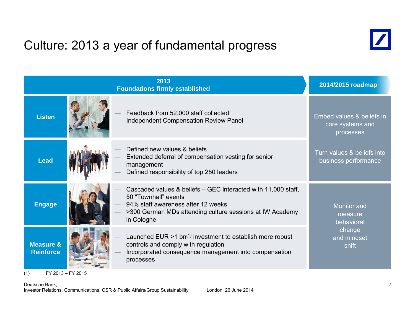# Culture: 2013 a year of fundamental progress



|                                          | 2013<br><b>Foundations firmly established</b> |                                                                                                                                                                                                       |                                                            |  |  |  |
|------------------------------------------|-----------------------------------------------|-------------------------------------------------------------------------------------------------------------------------------------------------------------------------------------------------------|------------------------------------------------------------|--|--|--|
| <b>Listen</b>                            |                                               | Feedback from 52,000 staff collected<br><b>Independent Compensation Review Panel</b>                                                                                                                  | Embed values & beliefs in<br>core systems and<br>processes |  |  |  |
| <b>Lead</b>                              |                                               | Defined new values & beliefs<br>Extended deferral of compensation vesting for senior<br>management<br>Defined responsibility of top 250 leaders                                                       | Turn values & beliefs into<br>business performance         |  |  |  |
| <b>Engage</b>                            |                                               | Cascaded values & beliefs – GEC interacted with 11,000 staff,<br>50 "Townhall" events<br>94% staff awareness after 12 weeks<br>>300 German MDs attending culture sessions at IW Academy<br>in Cologne | <b>Monitor</b> and<br>measure<br>behavioral                |  |  |  |
| <b>Measure &amp;</b><br><b>Reinforce</b> |                                               | Launched EUR $>1$ bn <sup>(1)</sup> investment to establish more robust<br>controls and comply with regulation<br>Incorporated consequence management into compensation<br>processes                  | change<br>and mindset<br>shift                             |  |  |  |

(1) FY 2013 – FY 2015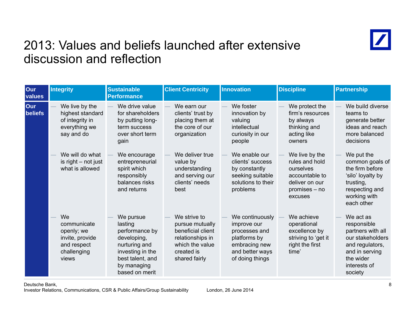

### 2013: Values and beliefs launched after extensive discussion and reflection

| Our<br>values  | <b>Integrity</b>                                                                          | <b>Sustainable</b><br><b>Performance</b>                                                                                                        | <b>Client Centricity</b>                                                                                                   | Innovation                                                                                                             | <b>Discipline</b>                                                                                               | <b>Partnership</b>                                                                                                                             |
|----------------|-------------------------------------------------------------------------------------------|-------------------------------------------------------------------------------------------------------------------------------------------------|----------------------------------------------------------------------------------------------------------------------------|------------------------------------------------------------------------------------------------------------------------|-----------------------------------------------------------------------------------------------------------------|------------------------------------------------------------------------------------------------------------------------------------------------|
| Our<br>beliefs | We live by the<br>highest standard<br>of integrity in<br>everything we<br>say and do      | We drive value<br>for shareholders<br>by putting long-<br>term success<br>over short term<br>gain                                               | We earn our<br>clients' trust by<br>placing them at<br>the core of our<br>organization                                     | We foster<br>innovation by<br>valuing<br>intellectual<br>curiosity in our<br>people                                    | We protect the<br>firm's resources<br>by always<br>thinking and<br>acting like<br>owners                        | We build diverse<br>teams to<br>generate better<br>ideas and reach<br>more balanced<br>decisions                                               |
|                | We will do what<br>is right - not just<br>what is allowed                                 | We encourage<br>entrepreneurial<br>spirit which<br>responsibly<br>balances risks<br>and returns                                                 | We deliver true<br>value by<br>understanding<br>and serving our<br>clients' needs<br>best                                  | We enable our<br>clients' success<br>by constantly<br>seeking suitable<br>solutions to their<br>problems               | We live by the<br>rules and hold<br>ourselves<br>accountable to<br>deliver on our<br>$promises - no$<br>excuses | We put the<br>common goals of<br>the firm before<br>'silo' loyalty by<br>trusting,<br>respecting and<br>working with<br>each other             |
|                | We<br>communicate<br>openly; we<br>invite, provide<br>and respect<br>challenging<br>views | We pursue<br>lasting<br>performance by<br>developing,<br>nurturing and<br>investing in the<br>best talent, and<br>by managing<br>based on merit | We strive to<br>pursue mutually<br>beneficial client<br>relationships in<br>which the value<br>created is<br>shared fairly | We continuously<br>improve our<br>processes and<br>platforms by<br>embracing new<br>and better ways<br>of doing things | We achieve<br>operational<br>excellence by<br>striving to 'get it<br>right the first<br>time'                   | We act as<br>responsible<br>partners with all<br>our stakeholders<br>and regulators,<br>and in serving<br>the wider<br>interests of<br>society |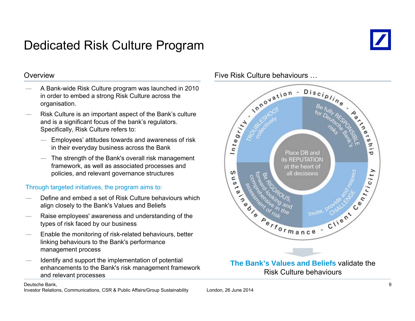# Dedicated Risk Culture Program



#### **Overview**

- A Bank-wide Risk Culture program was launched in 2010 in order to embed a strong Risk Culture across the organisation.
- Risk Culture is an important aspect of the Bank's culture and is a significant focus of the bank's regulators. Specifically, Risk Culture refers to:
	- Employees' attitudes towards and awareness of risk in their everyday business across the Bank
	- ― The strength of the Bank's overall risk management framework, as well as associated processes and policies, and relevant governance structures

### Through targeted initiatives, the program aims to:

- Define and embed a set of Risk Culture behaviours which align closely to the Bank's Values and Beliefs
- Raise employees' awareness and understanding of the types of risk faced by our business
- Enable the monitoring of risk-related behaviours, better linking behaviours to the Bank's performance management process
- $-$  Identify and support the implementation of potential **The Bank's Values and Belief** enhancements to the Bank's risk management framework and relevant processes

#### Five Risk Culture behaviours …



Risk Culture behaviours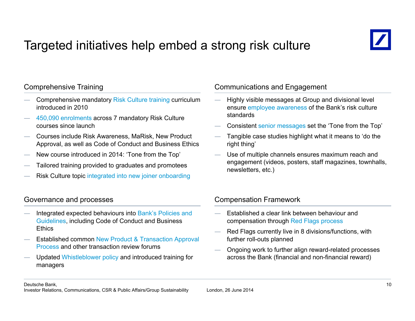# Targeted initiatives help embed a strong risk culture



### Comprehensive Training

- Comprehensive mandatory Risk Culture training curriculum introduced in 2010
- 450,090 enrolments across 7 mandatory Risk Culture courses since launch
- Courses include Risk Awareness, MaRisk, New Product Approval, as well as Code of Conduct and Business Ethics
- New course introduced in 2014: 'Tone from the Top'
- Tailored training provided to graduates and promotees
- Risk Culture topic integrated into new joiner onboarding

### Governance and processes **Compensation Framework**

- Integrated expected behaviours into Bank's Policies and Guidelines, including Code of Conduct and Business **helds of compensation through Red Flags** process **Ethics**
- Established common New Product & Transaction Approval Process and other transaction review forums
- Updated Whistleblower policy and introduced training for managers

### Communications and Engagement

- $-$  Highly visible messages at Group and divisional level ensure employee awareness of the Bank's risk culture standards
- Consistent senior messages set the 'Tone from the Top'
- Tangible case studies highlight what it means to 'do the right thing'
- Use of multiple channels ensures maximum reach and engagement (videos, posters, staff magazines, townhalls, newsletters, etc.)

- Established a clear link between behaviour and compensation through Red Flags process
- Red Flags currently live in 8 divisions/functions, with further roll-outs planned
- Ongoing work to further align reward-related processes across the Bank (financial and non-financial reward)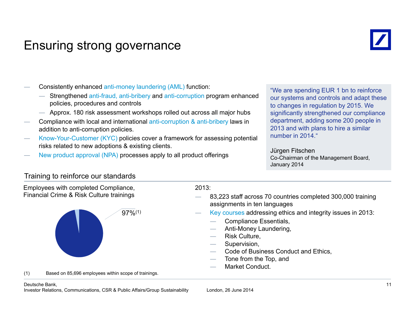### Ensuring strong governance



- Consistently enhanced anti-money laundering (AML) function:
	- Strengthened anti-fraud, anti-bribery and anti-corruption program enhanced<br>policies, procedures and controls policies, procedures and controls and controls b changes in requlation by 2015. We
	- ― Approx. 180 risk assessment workshops rolled out across all major hubs
- Compliance with local and international anti-corruption & anti-bribery laws in addition to anti-corruption policies.
- Know-Your-Customer (KYC) policies cover a framework for assessing potential humber in 2014. risks related to new adoptions & existing clients.
- New product approval (NPA) processes apply to all product offerings Jürgen Fitschen Co-Chairman of the Management Board,

our systems and controls and adapt these to changes in regulation by 2015. We significantly strengthened our compliance department, adding some 200 people in 2013 and with plans to hire a similar

January 2014

### Training to reinforce our standards

| Employees with completed Compliance,<br>Financial Crime & Risk Culture trainings | 2013:<br>83,223 staff across 70 countries completed 300,000 training                                                                                                                                                                                |
|----------------------------------------------------------------------------------|-----------------------------------------------------------------------------------------------------------------------------------------------------------------------------------------------------------------------------------------------------|
|                                                                                  | assignments in ten languages                                                                                                                                                                                                                        |
| $97\%^{(1)}$                                                                     | Key courses addressing ethics and integrity issues in 2013:<br><b>Compliance Essentials,</b><br>Anti-Money Laundering,<br>Risk Culture,<br>Supervision,<br>Code of Business Conduct and Ethics,<br>Tone from the Top, and<br><b>Market Conduct.</b> |
| (1)<br>Based on 85,696 employees within scope of trainings.                      |                                                                                                                                                                                                                                                     |
| Deutsche Bank.                                                                   |                                                                                                                                                                                                                                                     |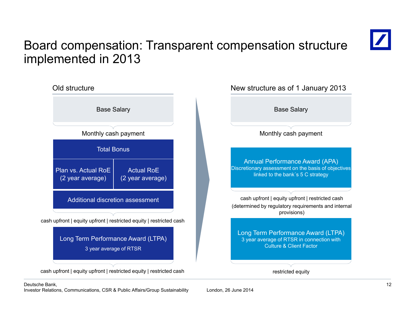# Board compensation: Transparent compensation structure implemented in 2013



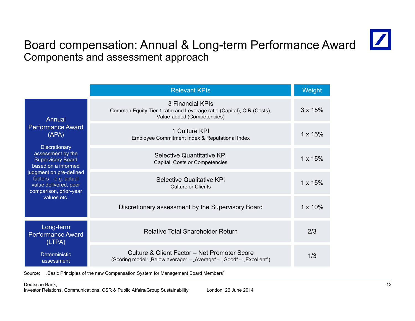

### Board compensation: Annual & Long-term Performance Award Components and assessment approach

|                                                                                                                                                                                                                                                                            | <b>Relevant KPIs</b>                                                                                                    | Weight          |
|----------------------------------------------------------------------------------------------------------------------------------------------------------------------------------------------------------------------------------------------------------------------------|-------------------------------------------------------------------------------------------------------------------------|-----------------|
| <b>Annual</b><br><b>Performance Award</b><br>(APA)<br><b>Discretionary</b><br>assessment by the<br><b>Supervisory Board</b><br>based on a informed<br>judgment on pre-defined<br>$factors - e.g. actual$<br>value delivered, peer<br>comparison, prior-year<br>values etc. | 3 Financial KPIs<br>Common Equity Tier 1 ratio and Leverage ratio (Capital), CIR (Costs),<br>Value-added (Competencies) | $3 \times 15\%$ |
|                                                                                                                                                                                                                                                                            | 1 Culture KPI<br>Employee Commitment Index & Reputational Index                                                         | $1 \times 15\%$ |
|                                                                                                                                                                                                                                                                            | Selective Quantitative KPI<br>Capital, Costs or Competencies                                                            | $1 \times 15\%$ |
|                                                                                                                                                                                                                                                                            | Selective Qualitative KPI<br>Culture or Clients                                                                         | $1 \times 15\%$ |
|                                                                                                                                                                                                                                                                            | Discretionary assessment by the Supervisory Board                                                                       | $1 \times 10\%$ |
| Long-term<br><b>Performance Award</b><br>(LTPA)                                                                                                                                                                                                                            | <b>Relative Total Shareholder Return</b>                                                                                | 2/3             |
| <b>Deterministic</b><br>assessment                                                                                                                                                                                                                                         | Culture & Client Factor - Net Promoter Score<br>(Scoring model: "Below average" – "Average" – "Good" – "Excellent")     | 1/3             |

Source: "Basic Principles of the new Compensation System for Management Board Members"

Deutsche Bank,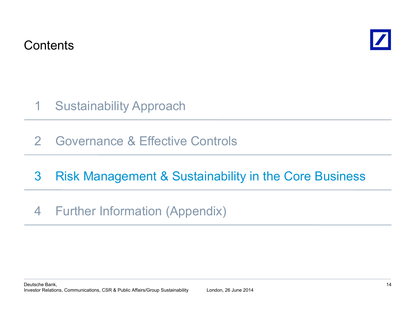**Contents** 



- Sustainability Approach 1
- 2Governance & Effective Controls

# 3**Risk Management & Sustainability in the Core Business** <sup>s</sup> <sup>a</sup> age <sup>e</sup> <sup>t</sup> Susta ab ty <sup>t</sup> <sup>e</sup> Co <sup>e</sup> us essFurther Information (Appendix)

### 4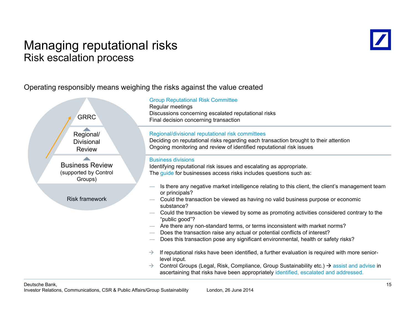### Managing reputational risks Risk escalation process



Operating responsibly means weighing the risks against the value created

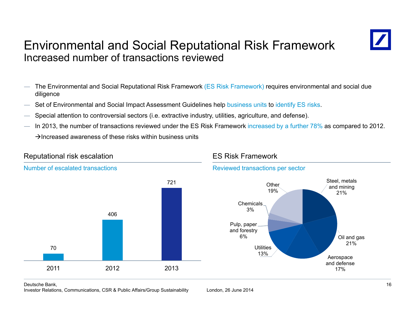### Environmental and Social Reputational Risk Framework Increased number of transactions reviewed



- The Environmental and Social Reputational Risk Framework (ES Risk Framework) requires environmental and social due diligence
- Set of Environmental and Social Impact Assessment Guidelines help business units to identify ES risks.
- Special attention to controversial sectors (i.e. extractive industry, utilities, agriculture, and defense).
- In 2013, the number of transactions reviewed under the ES Risk Framework increased by a further 78% as compared to 2012.

 $\rightarrow$ Increased awareness of these risks within business units



Deutsche Bank,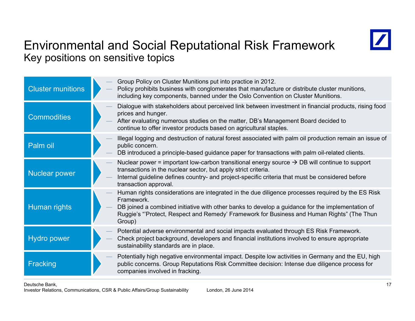

### Environmental and Social Reputational Risk Framework Key positions on sensitive topics

| <b>Cluster munitions</b> |  | Group Policy on Cluster Munitions put into practice in 2012.<br>Policy prohibits business with conglomerates that manufacture or distribute cluster munitions,<br>including key components, banned under the Oslo Convention on Cluster Munitions.                                                                         |
|--------------------------|--|----------------------------------------------------------------------------------------------------------------------------------------------------------------------------------------------------------------------------------------------------------------------------------------------------------------------------|
| <b>Commodities</b>       |  | Dialogue with stakeholders about perceived link between investment in financial products, rising food<br>prices and hunger.<br>After evaluating numerous studies on the matter, DB's Management Board decided to<br>continue to offer investor products based on agricultural staples.                                     |
| Palm oil                 |  | Illegal logging and destruction of natural forest associated with palm oil production remain an issue of<br>public concern.<br>DB introduced a principle-based guidance paper for transactions with palm oil-related clients.                                                                                              |
| <b>Nuclear power</b>     |  | Nuclear power = important low-carbon transitional energy source $\rightarrow$ DB will continue to support<br>transactions in the nuclear sector, but apply strict criteria.<br>Internal guideline defines country- and project-specific criteria that must be considered before<br>transaction approval.                   |
| Human rights             |  | Human rights considerations are integrated in the due diligence processes required by the ES Risk<br>Framework.<br>DB joined a combined initiative with other banks to develop a guidance for the implementation of<br>Ruggie's "Protect, Respect and Remedy' Framework for Business and Human Rights" (The Thun<br>Group) |
| <b>Hydro power</b>       |  | Potential adverse environmental and social impacts evaluated through ES Risk Framework.<br>Check project background, developers and financial institutions involved to ensure appropriate<br>sustainability standards are in place.                                                                                        |
| Fracking                 |  | Potentially high negative environmental impact. Despite low activities in Germany and the EU, high<br>public concerns. Group Reputations Risk Committee decision: Intense due diligence process for<br>companies involved in fracking.                                                                                     |
|                          |  |                                                                                                                                                                                                                                                                                                                            |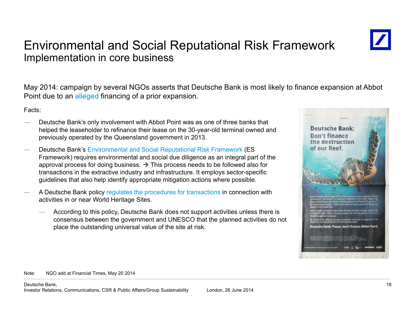### Environmental and Social Reputational Risk Framework Implementation in core business



May 2014: campaign by several NGOs asserts that Deutsche Bank is most likely to finance expansion at Abbot Point due to an alleged financing of a prior expansion.

Facts:

- Deutsche Bank's only involvement with Abbot Point was as one of three banks that helped the leaseholder to refinance their lease on the 30-year-old terminal owned and previously operated by the Queensland government in 2013.
- Deutsche Bank's Environmental and Social Reputational Risk Framework (ES Framework) requires environmental and social due diligence as an integral part of the approval process for doing business.  $\rightarrow$  This process needs to be followed also for transactions in the extractive industry and infrastructure. It employs sector-specific guidelines that also help identify appropriate mitigation actions where possible.
- A Deutsche Bank policy regulates the procedures for transactions in connection with activities in or near World Heritage Sites.
	- According to this policy, Deutsche Bank does not support activities unless there is consensus between the government and UNESCO that the planned activities do not place the outstanding universal value of the site at risk.



Note: NGO add at Financial Times, May 20 2014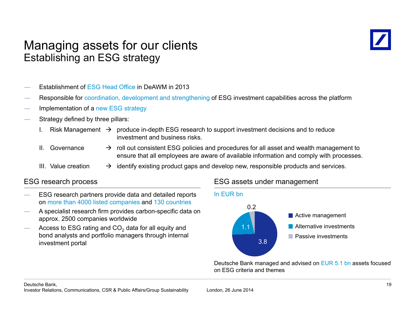### Managing assets for our clients Establishing an ESG strategy



- Establishment of ESG Head Office in DeAWM in 2013
- Responsible for coordination, development and strengthening of ESG investment capabilities across the platform
- Implementation of a new ESG strategy
- Strategy defined by three pillars:
	- I. Bisk Management  $\rightarrow$  produce in-depth ESG research to support investment decisions and to reduce investment and business risks.
	- II. Governance
- $\rightarrow$  roll out consistent ESG policies and procedures for all asset and wealth management to ensure that all employees are aware of available information and comply with processes.
- III. Value creation $\rightarrow$  identify existing product gaps and develop new, responsible products and services.

### **ESG research process**

- ESG research partners provide data and detailed reports on more than 4000 listed companies and 130 countries
- A specialist research firm provides carbon-specific data on approx. 2500 companies worldwide
- $-$  Access to ESG rating and CO<sub>2</sub> data for all equity and bond analysts and portfolio managers through internal investment portal

### ESG research process ESG assets under management



Deutsche Bank managed and advised on EUR 5.1 bn assets focused on ESG criteria and themes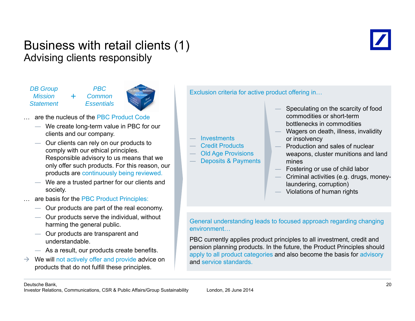### Business with retail clients (1) Advising clients responsibly

*DB Group Mission Statement Essentials*

*PBC Common* 



… are the nucleus of the PBC Product Code

*+*

- ― We create long-term value in PBC for our clients and our company.
- Our clients can rely on our products to comply with our ethical principles. Responsible advisory to us means that we only offer such products. For this reason, our products are continuously being reviewed.
- We are a trusted partner for our clients and society.
- are basis for the PBC Product Principles:
	- ― Our products are part of the real economy.
	- Our products serve the individual, without
	- Our products are transparent and understandable.
	- $-$  As a result, our products create benefits.
- $\rightarrow$  $\rightarrow$  We will not actively offer and provide advice on products that do not fulfill these principles.

Exclusion criteria for active product offering in…

- Speculating on the scarcity of food commodities or short-term bottlenecks in commodities
- Wagers on death, illness, invalidity or insolvency
- Production and sales of nuclear weapons, cluster munitions and land mines
- Fostering or use of child labor
- Criminal activities (e.g. drugs, money laundering, corruption)
- Violations of human rights

Sure products serve the marriagally marced and General understanding leads to focused approach regarding changing harming the general public. environment…

> PBC currently applies product principles to all investment, credit and pension planning products. In the future, the Product Principles should apply to all product categories and also become the basis for advisory and service standards.

**Investments** 

 Credit Products Old Age Provisions Deposits & Payments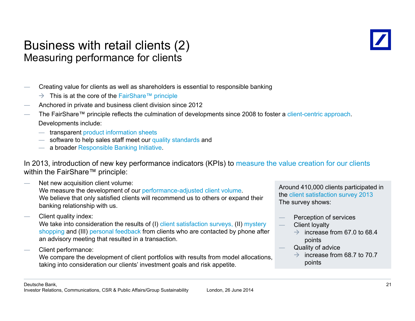### Business with retail clients (2) Measuring performance for clients



- Creating value for clients as well as shareholders is essential to responsible banking
	- $\rightarrow$  This is at the core of the FairShare™ principle
- Anchored in private and business client division since 2012
- The FairShare™ principle reflects the culmination of developments since 2008 to foster a client-centric approach. Developments include:
	- ― transparent product information sheets
	- ― software to help sales staff meet our quality standards and
	- ― a broader Responsible Banking Initiative.

In 2013, introduction of new key performance indicators (KPIs) to measure the value creation for our clients within the FairShare™ principle:

- Net new acquisition client volume: We measure the development of our performance-adjusted client volume. We believe that only satisfied clients will recommend us to others or expand their banking relationship with us.
- Client quality index:

We take into consideration the results of (I) client satisfaction surveys, (II) mystery shopping and (III) personal feedback from clients who are contacted by phone after an advisory meeting that resulted in a transaction.

Client performance:

We compare the development of client portfolios with results from model allocations, taking into consideration our clients' investment goals and risk appetite.

Around 410,000 clients participated in the client satisfaction survey 2013 The survey shows:

- Perception of services
- Client loyalty
	- $\rightarrow$  increase from 67.0 to 68.4 points
- Quality of advice
	- $\rightarrow$  increase from 68.7 to 70.7 int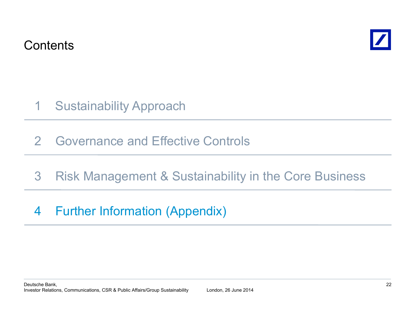**Contents** 



- Sustainability Approach 1
- 2Governance and Effective Controls
- 3**Risk Management & Sustainability in the Core Business** <sup>s</sup> <sup>a</sup> age <sup>e</sup> <sup>t</sup> Susta ab ty <sup>t</sup> <sup>e</sup> Co <sup>e</sup> us essFurther Information (Appendix)

# 4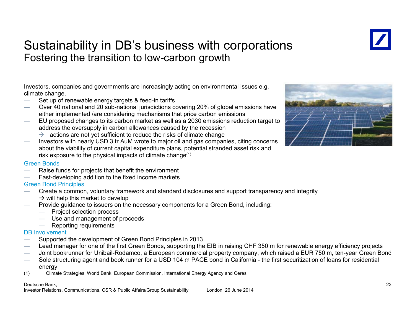### Sustainability in DB's business with corporations Fostering the transition to low-carbon growth

Investors, companies and governments are increasingly acting on environmental issues e.g. climate change.

- $-$  Set up of renewable energy targets & feed-in tariffs
- Over 40 national and 20 sub-national jurisdictions covering 20% of global emissions have either implemented /are considering mechanisms that price carbon emissions
- EU proposed changes to its carbon market as well as a 2030 emissions reduction target to address the oversupply in carbon allowances caused by the recession
	- $\rightarrow$  actions are not yet sufficient to reduce the risks of climate change
- $-$  lnvestors with nearly USD 3 tr AuM wrote to major oil and gas companies, citing concerns about the viability of current capital expenditure plans, potential stranded asset risk and risk exposure to the physical impacts of climate change $(1)$



#### Green Bonds

- Raise funds for projects that benefit the environment
- $-$  Fast-developing addition to the fixed income markets

#### Green Bond Principles

- Create a common, voluntary framework and standard disclosures and support transparency and integrity  $\rightarrow$  will help this market to develop
- Provide guidance to issuers on the necessary components for a Green Bond, including:
	- Project selection process
	- $-$  Use and management of proceeds
	- Reporting requirements

#### DB Involvement

- Supported the development of Green Bond Principles in 2013
- Lead manager for one of the first Green Bonds, supporting the EIB in raising CHF 350 m for renewable energy efficiency projects
- Joint bookrunner for Unibail-Rodamco, a European commercial property company, which raised a EUR 750 m, ten-year Green Bond
- $-$  Sole structuring agent and book runner for a USD 104 m PACE bond in California the first securitization of loans for residential energy
- (1) Climate Strategies, World Bank, European Commission, International Energy Agency and Ceres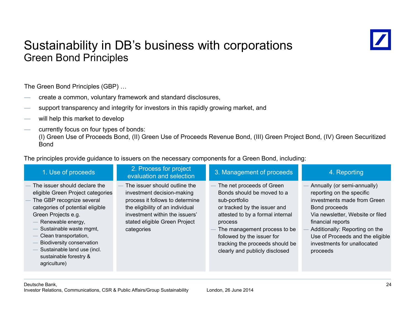### Sustainability in DB's business with corporations Green Bond Principles



The Green Bond Principles (GBP) …

- create a common, voluntar y framework and standard disclosures,
- create a common, voluntary tramework and standard disclosures,<br>— support transparency and integrity for investors in this rapidly growing market, and
- will help this market to develop
- currently focus on four types of bonds:

(I) Green Use of Proceeds Bond, (II) Green Use of Proceeds Revenue Bond, (III) Green Project Bond, (IV) Green Securitized Bond

The principles provide guidance to issuers on the necessary components for a Green Bond, including:

| 1. Use of proceeds                                                                                                                                                                                                                                                                                                                        | 2. Process for project<br>evaluation and selection                                                                                                                                                                  | 3. Management of proceeds                                                                                                                                                                                                                                                                  | 4. Reporting                                                                                                                                                                                                                                                                       |
|-------------------------------------------------------------------------------------------------------------------------------------------------------------------------------------------------------------------------------------------------------------------------------------------------------------------------------------------|---------------------------------------------------------------------------------------------------------------------------------------------------------------------------------------------------------------------|--------------------------------------------------------------------------------------------------------------------------------------------------------------------------------------------------------------------------------------------------------------------------------------------|------------------------------------------------------------------------------------------------------------------------------------------------------------------------------------------------------------------------------------------------------------------------------------|
| The issuer should declare the<br>eligible Green Project categories<br>The GBP recognize several<br>categories of potential eligible<br>Green Projects e.g.<br>Renewable energy,<br>Sustainable waste mgmt,<br>Clean transportation,<br>Biodiversity conservation<br>Sustainable land use (incl.<br>sustainable forestry &<br>agriculture) | The issuer should outline the<br>investment decision-making<br>process it follows to determine<br>the eligibility of an individual<br>investment within the issuers'<br>stated eligible Green Project<br>categories | The net proceeds of Green<br>Bonds should be moved to a<br>sub-portfolio<br>or tracked by the issuer and<br>attested to by a formal internal<br>process<br>The management process to be<br>followed by the issuer for<br>tracking the proceeds should be<br>clearly and publicly disclosed | Annually (or semi-annually)<br>reporting on the specific<br>investments made from Green<br>Bond proceeds<br>Via newsletter, Website or filed<br>financial reports<br>Additionally: Reporting on the<br>Use of Proceeds and the eligible<br>investments for unallocated<br>proceeds |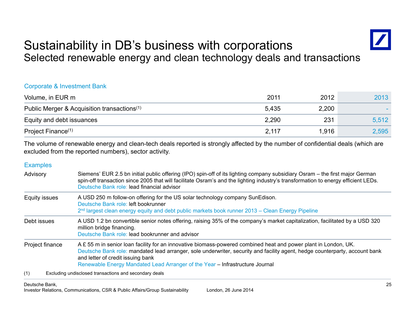### Sustainability in DB's business with corporations Selected renewable energy and clean technology deals and transactions

#### Corporate & Investment Bank

| Volume, in EUR m                                        | 2011  | 2012  | 2013  |
|---------------------------------------------------------|-------|-------|-------|
| Public Merger & Acquisition transactions <sup>(1)</sup> | 5.435 | 2,200 |       |
| Equity and debt issuances                               | 2,290 | 231   | 5,512 |
| Project Finance <sup>(1)</sup>                          | 2,117 | 1,916 | 2,595 |

The volume of renewable energy and clean-tech deals reported is strongly affected by the number of confidential deals (which ar e excluded from the reported numbers), sector activity.

#### **Examples**

- Advisory Siemens' EUR 2.5 bn initial public offering (IPO) spin-off of its lighting company subsidiary Osram the first major German spin-off transaction since 2005 that will facilitate Osram's and the lighting industry's transformation to energy efficient LEDs. Deutsche Bank role: lead financial advisor
- Equity issues A USD 250 m follow-on offering for the US solar technology company SunEdison. Deutsche Bank role: left bookrunner2<sup>nd</sup> largest clean energy equity and debt public markets book runner 2013 – Clean Energy Pipeline

Debt issuesA USD 1.2 bn convertible senior notes offering, raising 35% of the company's market capitalization, facilitated by a USD 320 million bridge financing. Deutsche Bank role: lead bookrunner and advisor

Project finance A £ 55 m in senior loan facility for an innovative biomass-powered combined heat and power plant in London, UK. Deutsche Bank role: mandated lead arranger, sole underwriter, security and facility agent, hedge counterparty, account bank and letter of credit issuing bank Renewable Energy Mandated Lead Arranger of the Year – Infrastructure Journal

(1) Excluding undisclosed transactions and secondary deals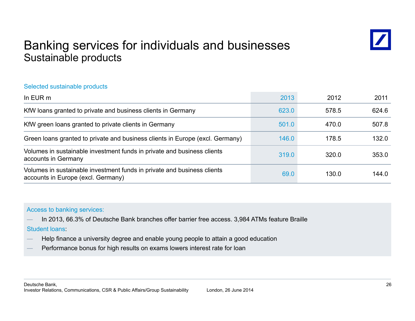### Banking services for individuals and businesses Sustainable products



#### Selected sustainable products

| In $EUR$ m                                                                                                    | 2013  | 2012  | 2011  |
|---------------------------------------------------------------------------------------------------------------|-------|-------|-------|
| KfW loans granted to private and business clients in Germany                                                  | 623.0 | 578.5 | 624.6 |
| KfW green loans granted to private clients in Germany                                                         | 501.0 | 470.0 | 507.8 |
| Green loans granted to private and business clients in Europe (excl. Germany)                                 | 146.0 | 178.5 | 132.0 |
| Volumes in sustainable investment funds in private and business clients<br>accounts in Germany                | 319.0 | 320.0 | 353.0 |
| Volumes in sustainable investment funds in private and business clients<br>accounts in Europe (excl. Germany) | 69.0  | 130.0 | 144.0 |

#### Access to banking services:

— In 2013, 66.3% of Deutsche Bank branches offer barrier free access. 3,984 ATMs feature Braille<br>Student loans:

- Help finance a university degree and enable young people to attain a good education
- Performance bonus for high results on exams lowers interest rate for loan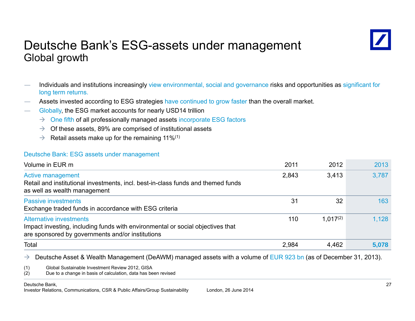### Deutsche Bank's ESG-assets under management Global growth



- Individuals and institutions increasingly view environmental, social and governance risks and opportunities as significant for long term returns.
- Assets invested according to ESG strategies have continued to grow faster than the overall market.
- Globally, the ESG market accounts for nearly USD14 trillion
	- $\rightarrow$  One fifth of all professionally managed assets incorporate ESG factors
	- $\rightarrow$  Of these assets, 89% are comprised of institutional assets
	- $\rightarrow$  Retail assets make up for the remaining 11%<sup>(1)</sup>

#### Deutsche Bank: ESG assets under management

| Volume in EUR m                                                                                                                                                      | 2011  | 2012          | 2013  |
|----------------------------------------------------------------------------------------------------------------------------------------------------------------------|-------|---------------|-------|
| Active management<br>Retail and institutional investments, incl. best-in-class funds and themed funds<br>as well as wealth management                                | 2,843 | 3,413         | 3,787 |
| <b>Passive investments</b><br>Exchange traded funds in accordance with ESG criteria                                                                                  | 31    | 32            | 163   |
| <b>Alternative investments</b><br>Impact investing, including funds with environmental or social objectives that<br>are sponsored by governments and/or institutions | 110   | $1.017^{(2)}$ | 1,128 |
| Total                                                                                                                                                                | 2,984 | 4,462         | 5,078 |

 $\rightarrow$ Deutsche Asset & Wealth Management (DeAWM) managed assets with a volume of EUR 923 bn (as of December 31, 2013).

(1) Global Sustainable Investment Review 2012, GISA

(2) Due to a change in basis of calculation, data has been revised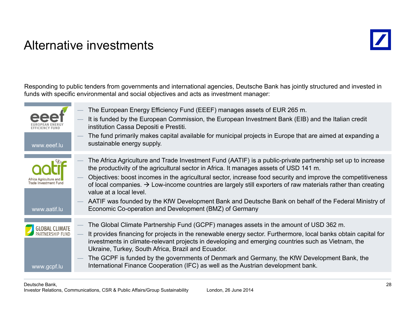### Alternative investments



Responding to public tenders from governments and international agencies, Deutsche Bank has jointly structured and invested in funds with specific environmental and social objectives and acts as investment manager:

| www.eeef.lu                                                    | The European Energy Efficiency Fund (EEEF) manages assets of EUR 265 m.<br>It is funded by the European Commission, the European Investment Bank (EIB) and the Italian credit<br>institution Cassa Depositi e Prestiti.<br>The fund primarily makes capital available for municipal projects in Europe that are aimed at expanding a<br>sustainable energy supply.                                                                                                                                                                                                                                                                             |
|----------------------------------------------------------------|------------------------------------------------------------------------------------------------------------------------------------------------------------------------------------------------------------------------------------------------------------------------------------------------------------------------------------------------------------------------------------------------------------------------------------------------------------------------------------------------------------------------------------------------------------------------------------------------------------------------------------------------|
| Africa Agriculture ar<br>Trade Investment Fund<br>www.aatif.lu | The Africa Agriculture and Trade Investment Fund (AATIF) is a public-private partnership set up to increase<br>the productivity of the agricultural sector in Africa. It manages assets of USD 141 m.<br>Objectives: boost incomes in the agricultural sector, increase food security and improve the competitiveness<br>of local companies. $\rightarrow$ Low-income countries are largely still exporters of raw materials rather than creating<br>value at a local level.<br>AATIF was founded by the KfW Development Bank and Deutsche Bank on behalf of the Federal Ministry of<br>Economic Co-operation and Development (BMZ) of Germany |
| <b>GLOBAL CLIMATE</b><br>PARTNERSHIP FUND<br>www.gcpf.lu       | The Global Climate Partnership Fund (GCPF) manages assets in the amount of USD 362 m.<br>It provides financing for projects in the renewable energy sector. Furthermore, local banks obtain capital for<br>investments in climate-relevant projects in developing and emerging countries such as Vietnam, the<br>Ukraine, Turkey, South Africa, Brazil and Ecuador.<br>The GCPF is funded by the governments of Denmark and Germany, the KfW Development Bank, the<br>International Finance Cooperation (IFC) as well as the Austrian development bank.                                                                                        |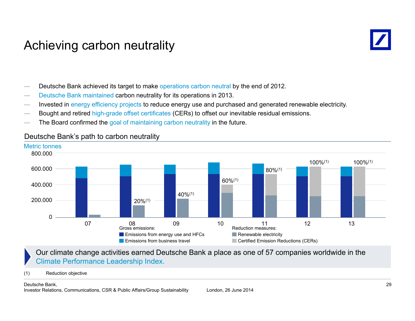### Achieving carbon neutrality



Deutsche Bank achieved its target to make operations carbon neutral by the end of 2012.

- Deutsche Bank maintained carbon neutrality for its operations in 2013.
- Invested in energy efficiency projects to reduce energy use and purchased and generated renewable electricity.
- Bought and retired high-grade offset certificates (CERs) to offset our inevitable residual emissions.
- The Board confirmed the goal of maintaining carbon neutrality in the future.



#### Deutsche Bank's path to carbon neutralit y

#### Our climate change activities earned Deutsche Bank a place as one of 57 companies worldwide in the Climate Performance Leadership Index.

(1) Reduction objective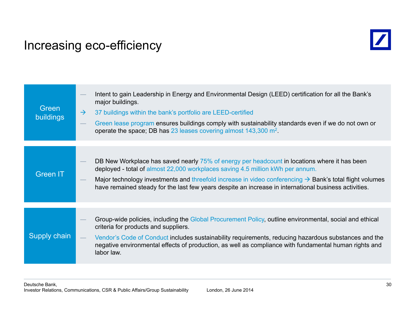### Increasing eco-efficiency



| Green<br><b>buildings</b> | Intent to gain Leadership in Energy and Environmental Design (LEED) certification for all the Bank's<br>major buildings.<br>$\rightarrow$<br>37 buildings within the bank's portfolio are LEED-certified<br>Green lease program ensures buildings comply with sustainability standards even if we do not own or<br>operate the space; DB has 23 leases covering almost 143,300 m <sup>2</sup> .                |
|---------------------------|----------------------------------------------------------------------------------------------------------------------------------------------------------------------------------------------------------------------------------------------------------------------------------------------------------------------------------------------------------------------------------------------------------------|
| <b>Green IT</b>           | DB New Workplace has saved nearly 75% of energy per headcount in locations where it has been<br>deployed - total of almost 22,000 workplaces saving 4.5 million kWh per annum.<br>Major technology investments and threefold increase in video conferencing $\rightarrow$ Bank's total flight volumes<br>have remained steady for the last few years despite an increase in international business activities. |
| <b>Supply chain</b>       | Group-wide policies, including the Global Procurement Policy, outline environmental, social and ethical<br>criteria for products and suppliers.<br>Vendor's Code of Conduct includes sustainability requirements, reducing hazardous substances and the<br>negative environmental effects of production, as well as compliance with fundamental human rights and<br>labor law.                                 |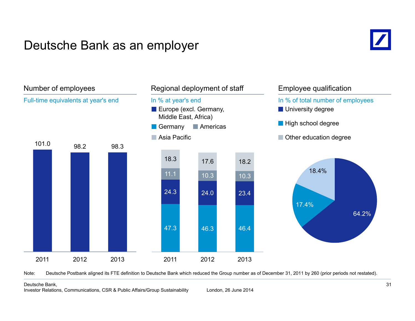### Deutsche Bank as an employer





Note: Deutsche Postbank aligned its FTE definition to Deutsche Bank which reduced the Group number as of December 31, 2011 by 260 (prior periods not restated).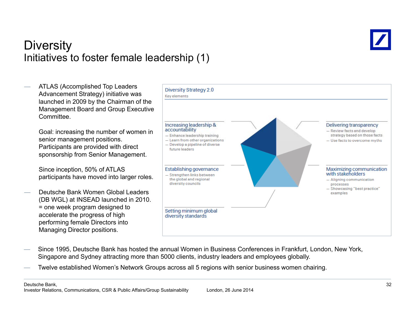

### **Diversity** Initiatives to foster female leadership (1)



- Since 1995, Deutsche Bank has hosted the annual Women in Business Conferences in Frankfurt, London, New York, Singapore and Sydney attracting more than 5000 clients, industry leaders and employees globally.
- Twelve established Women's Network Groups across all 5 regions with senior business women chairing.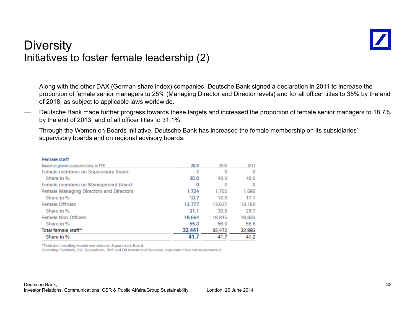

### **Diversity** Initiatives to foster female leadership (2)

- Along with the other DAX (German share index) companies, Deutsche Bank signed a declaration in 2011 to increase the proportion of female senior managers to 25% (Managing Director and Director levels) and for all officer titles to 35% by the end of 2018, as subject to applicable laws worldwide.
- Deutsche Bank made further progress towards these targets and increased the proportion of female senior managers to 18.7% by the end of 2013, and of all officer titles to 31.1%.
- Through the Women on Boards initiative, Deutsche Bank has increased the female membership on its subsidiaries' supervisory boards and on regional advisory boards.

| Female Stam                              |        |        |         |
|------------------------------------------|--------|--------|---------|
| Based on global corporate titles, in FTE | 2013   | 2012   | 2011    |
| Female members on Supervisory Board      |        | 8      | 8       |
| Share in %                               | 35.0   | 40.0   | 40.0    |
| Female members on Management Board       | 0      | 0      | $\circ$ |
| Female Managing Directors and Directors  | 1.724  | 1,702  | 1,680   |
| Share in %                               | 18.7   | 18.0   | 17.1    |
| <b>Female Officers</b>                   | 13,777 | 13,627 | 13,150  |
| Share in %                               | 31.1   | 30.8   | 29.7    |
| <b>Female Non-Officers</b>               | 18,664 | 18,845 | 19,833  |
| Share in %                               | 55.8   | 56.0   | 55.6    |
| Total female staff*                      | 32,441 | 32,472 | 32,983  |
| Share in %                               | 41.7   | 41.7   | 41.2    |

\*Total not including female members on Supervisory Board.

Eomain staff

Excluding Postbank, Sal. Oppenheim, BHF and DB Investment Services; corporate titles not implemented.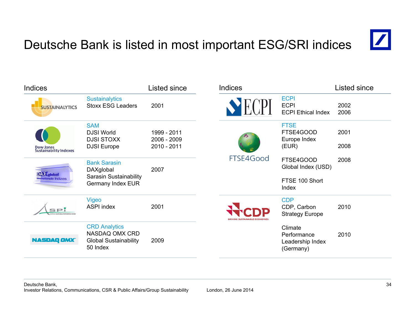# Deutsche Bank is listed in most important ESG/SRI indices



| <b>Indices</b>                                     |                                                                                        | Listed since                              | <b>Indices</b> |                                                            | Listed since |
|----------------------------------------------------|----------------------------------------------------------------------------------------|-------------------------------------------|----------------|------------------------------------------------------------|--------------|
| <b>SUSTAINALYTICS</b>                              | <b>Sustainalytics</b><br><b>Stoxx ESG Leaders</b>                                      | 2001                                      |                | <b>ECPI</b><br><b>ECPI</b><br><b>ECPI Ethical Index</b>    | 2002<br>2006 |
| <b>Dow Jones</b><br><b>Sustainability Indexes</b>  | <b>SAM</b><br><b>DJSI World</b><br><b>DJSI STOXX</b><br><b>DJSI</b> Europe             | 1999 - 2011<br>2006 - 2009<br>2010 - 2011 |                | <b>FTSE</b><br>FTSE4GOOD<br>Europe Index<br>(EUR)          | 2001<br>2008 |
| <b>DAX</b> global<br><b>Internationale Indizes</b> | <b>Bank Sarasin</b><br>DAXglobal<br><b>Sarasin Sustainability</b><br>Germany Index EUR | 2007                                      | FTSE4Good      | FTSE4GOOD<br>Global Index (USD)<br>FTSE 100 Short<br>Index | 2008         |
| SP <sup>'</sup>                                    | Vigeo<br><b>ASPI index</b>                                                             | 2001                                      |                | <b>CDP</b><br>CDP, Carbon<br><b>Strategy Europe</b>        | 2010         |
| <b>NASDAQ OMX</b>                                  | <b>CRD</b> Analytics<br>NASDAQ OMX CRD<br><b>Global Sustainability</b><br>50 Index     | 2009                                      |                | Climate<br>Performance<br>Leadership Index<br>(Germany)    | 2010         |

#### Deutsche Bank, Investor Relations, Communications, CSR & Public Affairs/Group Sustainability London, 26 June 2014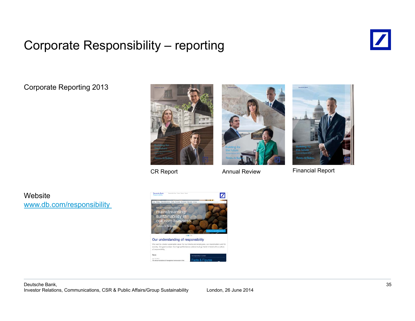# Corporate Responsibility – reporting



Corporate Reporting 2013







CR Report **Annual Review** Financial Report

**Website** www.db.com/responsibility